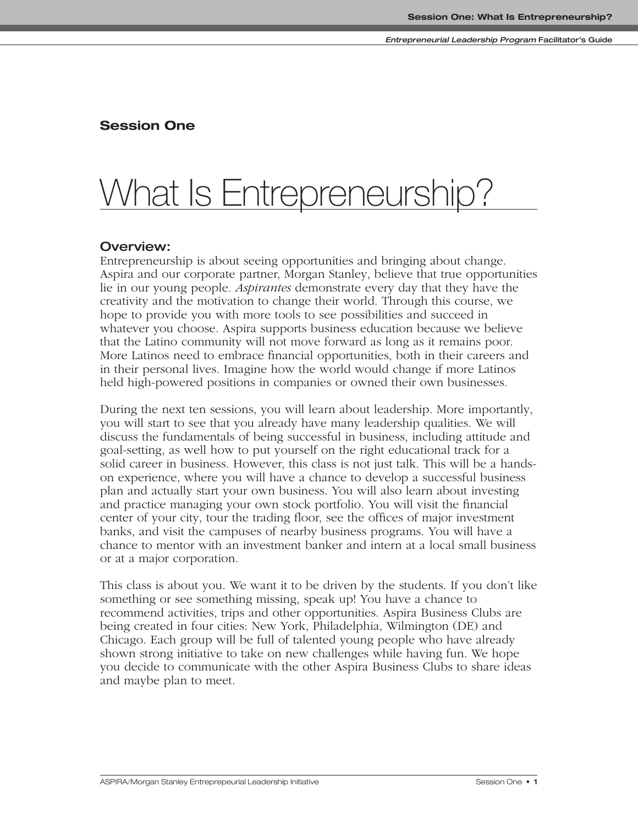# **Session One**

# What Is Entrepreneurship?

# **Overview:**

Entrepreneurship is about seeing opportunities and bringing about change. Aspira and our corporate partner, Morgan Stanley, believe that true opportunities lie in our young people. *Aspirantes* demonstrate every day that they have the creativity and the motivation to change their world. Through this course, we hope to provide you with more tools to see possibilities and succeed in whatever you choose. Aspira supports business education because we believe that the Latino community will not move forward as long as it remains poor. More Latinos need to embrace financial opportunities, both in their careers and in their personal lives. Imagine how the world would change if more Latinos held high-powered positions in companies or owned their own businesses.

During the next ten sessions, you will learn about leadership. More importantly, you will start to see that you already have many leadership qualities. We will discuss the fundamentals of being successful in business, including attitude and goal-setting, as well how to put yourself on the right educational track for a solid career in business. However, this class is not just talk. This will be a handson experience, where you will have a chance to develop a successful business plan and actually start your own business. You will also learn about investing and practice managing your own stock portfolio. You will visit the financial center of your city, tour the trading floor, see the offices of major investment banks, and visit the campuses of nearby business programs. You will have a chance to mentor with an investment banker and intern at a local small business or at a major corporation.

This class is about you. We want it to be driven by the students. If you don't like something or see something missing, speak up! You have a chance to recommend activities, trips and other opportunities. Aspira Business Clubs are being created in four cities: New York, Philadelphia, Wilmington (DE) and Chicago. Each group will be full of talented young people who have already shown strong initiative to take on new challenges while having fun. We hope you decide to communicate with the other Aspira Business Clubs to share ideas and maybe plan to meet.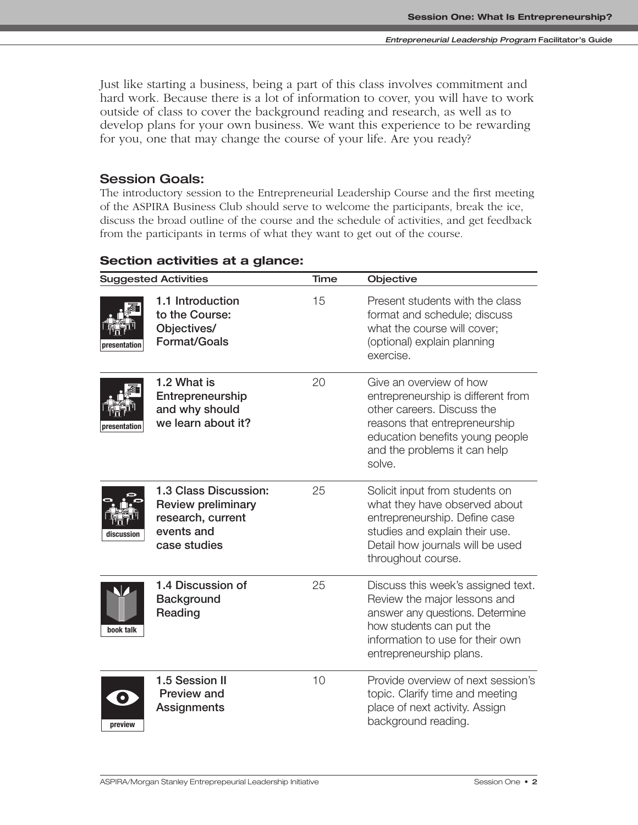Just like starting a business, being a part of this class involves commitment and hard work. Because there is a lot of information to cover, you will have to work outside of class to cover the background reading and research, as well as to develop plans for your own business. We want this experience to be rewarding for you, one that may change the course of your life. Are you ready?

# **Session Goals:**

The introductory session to the Entrepreneurial Leadership Course and the first meeting of the ASPIRA Business Club should serve to welcome the participants, break the ice, discuss the broad outline of the course and the schedule of activities, and get feedback from the participants in terms of what they want to get out of the course.

| <b>Suggested Activities</b> |                                                                                                       | <b>Time</b> | Objective                                                                                                                                                                                                 |  |
|-----------------------------|-------------------------------------------------------------------------------------------------------|-------------|-----------------------------------------------------------------------------------------------------------------------------------------------------------------------------------------------------------|--|
| presentation                | 1.1 Introduction<br>to the Course:<br>Objectives/<br><b>Format/Goals</b>                              | 15          | Present students with the class<br>format and schedule; discuss<br>what the course will cover;<br>(optional) explain planning<br>exercise.                                                                |  |
| presentation                | 1.2 What is<br>Entrepreneurship<br>and why should<br>we learn about it?                               | 20          | Give an overview of how<br>entrepreneurship is different from<br>other careers. Discuss the<br>reasons that entrepreneurship<br>education benefits young people<br>and the problems it can help<br>solve. |  |
| discussion                  | 1.3 Class Discussion:<br><b>Review preliminary</b><br>research, current<br>events and<br>case studies | 25          | Solicit input from students on<br>what they have observed about<br>entrepreneurship. Define case<br>studies and explain their use.<br>Detail how journals will be used<br>throughout course.              |  |
| book talk                   | 1.4 Discussion of<br>Background<br>Reading                                                            | 25          | Discuss this week's assigned text.<br>Review the major lessons and<br>answer any questions. Determine<br>how students can put the<br>information to use for their own<br>entrepreneurship plans.          |  |
| $\bullet$<br>preview        | 1.5 Session II<br>Preview and<br>Assignments                                                          | 10          | Provide overview of next session's<br>topic. Clarify time and meeting<br>place of next activity. Assign<br>background reading.                                                                            |  |

# **Section activities at a glance:**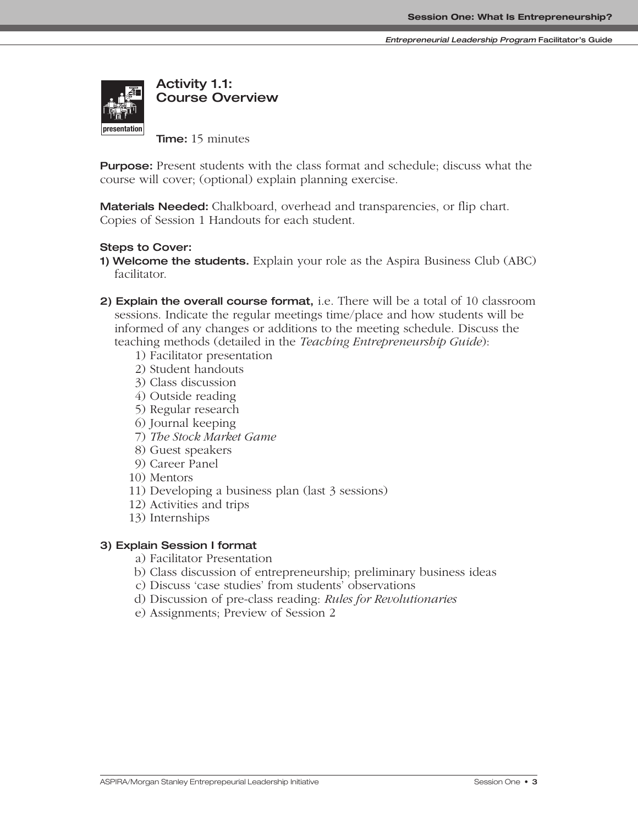**Entrepreneurial Leadership Program Facilitator's Guide**



**Activity 1.1: Course Overview**

**Time:** 15 minutes

**Purpose:** Present students with the class format and schedule; discuss what the course will cover; (optional) explain planning exercise.

**Materials Needed:** Chalkboard, overhead and transparencies, or flip chart. Copies of Session 1 Handouts for each student.

# **Steps to Cover:**

- **1) Welcome the students.** Explain your role as the Aspira Business Club (ABC) facilitator.
- **2) Explain the overall course format,** i.e. There will be a total of 10 classroom sessions. Indicate the regular meetings time/place and how students will be informed of any changes or additions to the meeting schedule. Discuss the teaching methods (detailed in the *Teaching Entrepreneurship Guide*):
	- 1) Facilitator presentation
	- 2) Student handouts
	- 3) Class discussion
	- 4) Outside reading
	- 5) Regular research
	- 6) Journal keeping
	- 7) *The Stock Market Game*
	- 8) Guest speakers
	- 9) Career Panel
	- 10) Mentors
	- 11) Developing a business plan (last 3 sessions)
	- 12) Activities and trips
	- 13) Internships

# **3) Explain Session I format**

- a) Facilitator Presentation
- b) Class discussion of entrepreneurship; preliminary business ideas
- c) Discuss 'case studies' from students' observations
- d) Discussion of pre-class reading: *Rules for Revolutionaries*
- e) Assignments; Preview of Session 2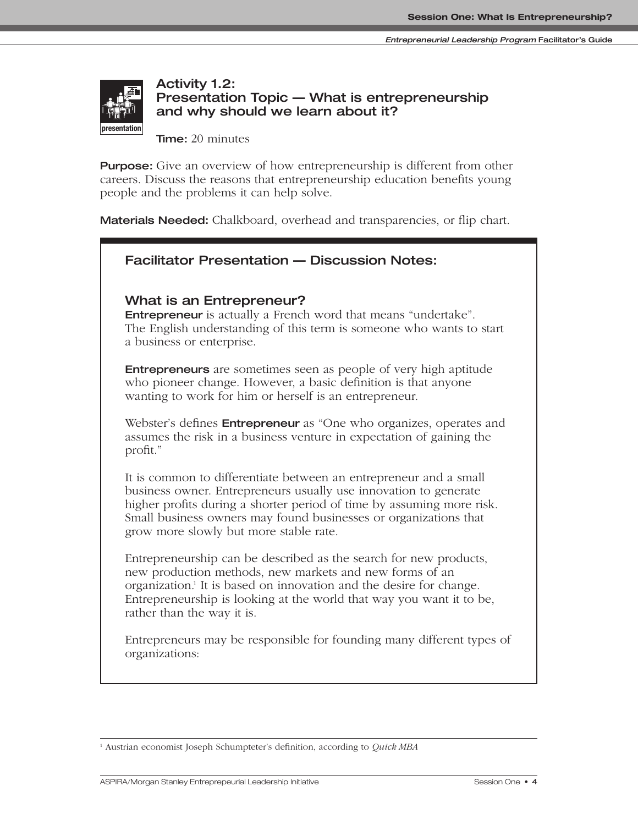

# **Activity 1.2: Presentation Topic — What is entrepreneurship and why should we learn about it?**

**Time:** 20 minutes

**Purpose:** Give an overview of how entrepreneurship is different from other careers. Discuss the reasons that entrepreneurship education benefits young people and the problems it can help solve.

**Materials Needed:** Chalkboard, overhead and transparencies, or flip chart.

| <b>Facilitator Presentation - Discussion Notes:</b>                                                                                                                                                                                                                                                                          |
|------------------------------------------------------------------------------------------------------------------------------------------------------------------------------------------------------------------------------------------------------------------------------------------------------------------------------|
| What is an Entrepreneur?<br><b>Entrepreneur</b> is actually a French word that means "undertake".<br>The English understanding of this term is someone who wants to start<br>a business or enterprise.                                                                                                                       |
| <b>Entrepreneurs</b> are sometimes seen as people of very high aptitude<br>who pioneer change. However, a basic definition is that anyone<br>wanting to work for him or herself is an entrepreneur.                                                                                                                          |
| Webster's defines <b>Entrepreneur</b> as "One who organizes, operates and<br>assumes the risk in a business venture in expectation of gaining the<br>profit."                                                                                                                                                                |
| It is common to differentiate between an entrepreneur and a small<br>business owner. Entrepreneurs usually use innovation to generate<br>higher profits during a shorter period of time by assuming more risk.<br>Small business owners may found businesses or organizations that<br>grow more slowly but more stable rate. |
| Entrepreneurship can be described as the search for new products,<br>new production methods, new markets and new forms of an<br>organization. <sup>1</sup> It is based on innovation and the desire for change.<br>Entrepreneurship is looking at the world that way you want it to be,<br>rather than the way it is.        |
| Entrepreneurs may be responsible for founding many different types of<br>organizations:                                                                                                                                                                                                                                      |

<sup>1</sup> Austrian economist Joseph Schumpteter's definition, according to *Quick MBA*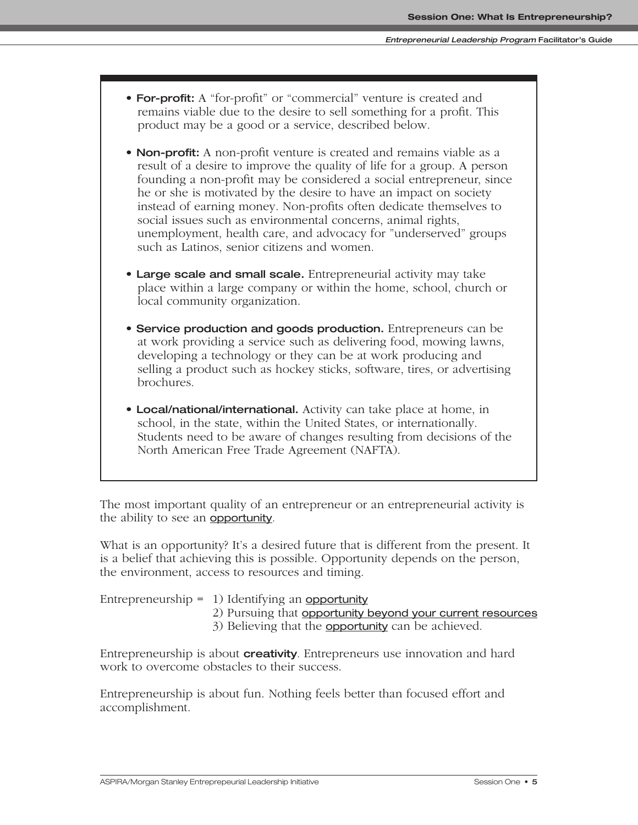- **For-profit:** A "for-profit" or "commercial" venture is created and remains viable due to the desire to sell something for a profit. This product may be a good or a service, described below.
- **Non-profit:** A non-profit venture is created and remains viable as a result of a desire to improve the quality of life for a group. A person founding a non-profit may be considered a social entrepreneur, since he or she is motivated by the desire to have an impact on society instead of earning money. Non-profits often dedicate themselves to social issues such as environmental concerns, animal rights, unemployment, health care, and advocacy for "underserved" groups such as Latinos, senior citizens and women.
- **Large scale and small scale.** Entrepreneurial activity may take place within a large company or within the home, school, church or local community organization.
- **Service production and goods production.** Entrepreneurs can be at work providing a service such as delivering food, mowing lawns, developing a technology or they can be at work producing and selling a product such as hockey sticks, software, tires, or advertising brochures.
- **Local/national/international.** Activity can take place at home, in school, in the state, within the United States, or internationally. Students need to be aware of changes resulting from decisions of the North American Free Trade Agreement (NAFTA).

The most important quality of an entrepreneur or an entrepreneurial activity is the ability to see an **opportunity**.

What is an opportunity? It's a desired future that is different from the present. It is a belief that achieving this is possible. Opportunity depends on the person, the environment, access to resources and timing.

| Entrepreneurship = $1)$ Identifying an opportunity         |
|------------------------------------------------------------|
| 2) Pursuing that opportunity beyond your current resources |
| 3) Believing that the <b>opportunity</b> can be achieved.  |

Entrepreneurship is about **creativity**. Entrepreneurs use innovation and hard work to overcome obstacles to their success.

Entrepreneurship is about fun. Nothing feels better than focused effort and accomplishment.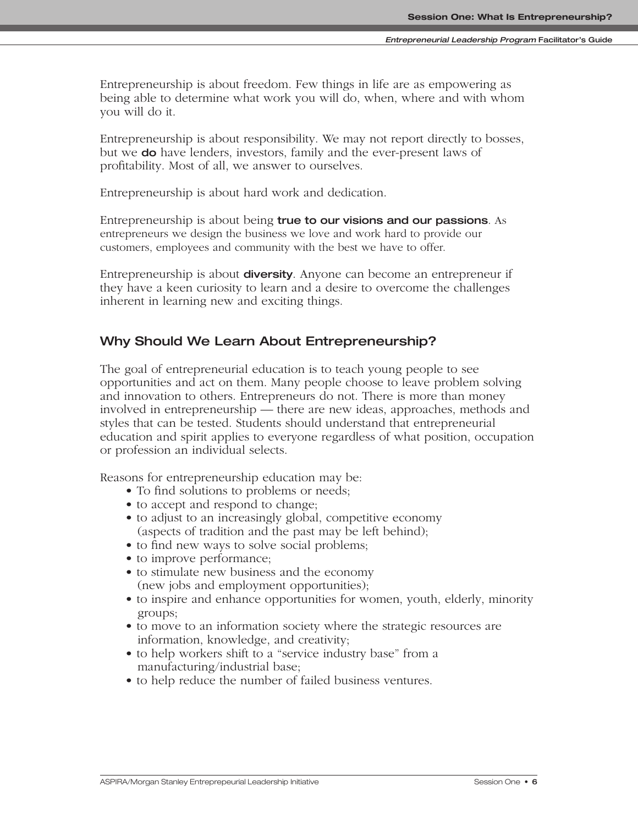Entrepreneurship is about freedom. Few things in life are as empowering as being able to determine what work you will do, when, where and with whom you will do it.

Entrepreneurship is about responsibility. We may not report directly to bosses, but we **do** have lenders, investors, family and the ever-present laws of profitability. Most of all, we answer to ourselves.

Entrepreneurship is about hard work and dedication.

Entrepreneurship is about being **true to our visions and our passions**. As entrepreneurs we design the business we love and work hard to provide our customers, employees and community with the best we have to offer.

Entrepreneurship is about **diversity**. Anyone can become an entrepreneur if they have a keen curiosity to learn and a desire to overcome the challenges inherent in learning new and exciting things.

# **Why Should We Learn About Entrepreneurship?**

The goal of entrepreneurial education is to teach young people to see opportunities and act on them. Many people choose to leave problem solving and innovation to others. Entrepreneurs do not. There is more than money involved in entrepreneurship — there are new ideas, approaches, methods and styles that can be tested. Students should understand that entrepreneurial education and spirit applies to everyone regardless of what position, occupation or profession an individual selects.

Reasons for entrepreneurship education may be:

- To find solutions to problems or needs;
- to accept and respond to change;
- to adjust to an increasingly global, competitive economy (aspects of tradition and the past may be left behind);
- to find new ways to solve social problems;
- to improve performance;
- to stimulate new business and the economy (new jobs and employment opportunities);
- to inspire and enhance opportunities for women, youth, elderly, minority groups;
- to move to an information society where the strategic resources are information, knowledge, and creativity;
- to help workers shift to a "service industry base" from a manufacturing/industrial base;
- to help reduce the number of failed business ventures.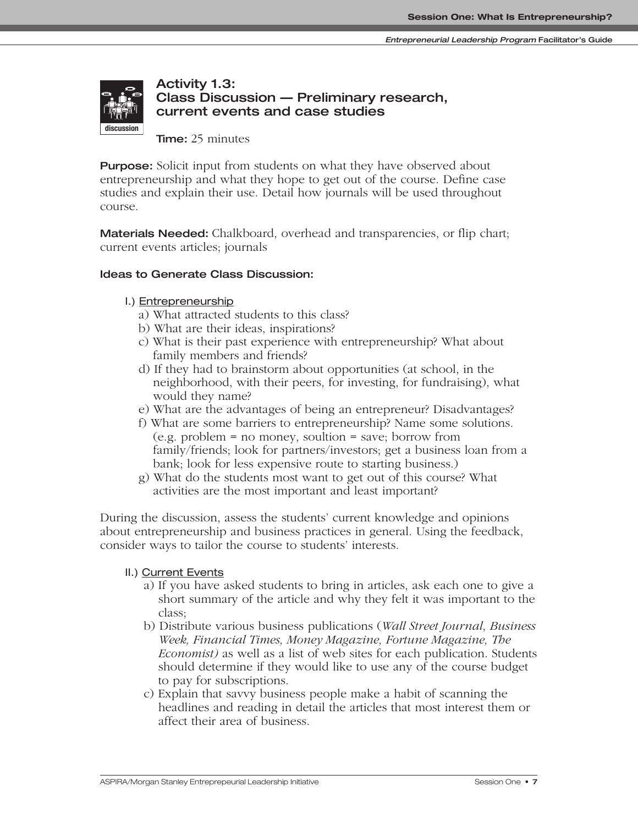

# **Activity 1.3: Class Discussion — Preliminary research, current events and case studies**

**Time:** 25 minutes

**Purpose:** Solicit input from students on what they have observed about entrepreneurship and what they hope to get out of the course. Define case studies and explain their use. Detail how journals will be used throughout course.

**Materials Needed:** Chalkboard, overhead and transparencies, or flip chart; current events articles; journals

## **Ideas to Generate Class Discussion:**

### I.) Entrepreneurship

- a) What attracted students to this class?
- b) What are their ideas, inspirations?
- c) What is their past experience with entrepreneurship? What about family members and friends?
- d) If they had to brainstorm about opportunities (at school, in the neighborhood, with their peers, for investing, for fundraising), what would they name?
- e) What are the advantages of being an entrepreneur? Disadvantages?
- f) What are some barriers to entrepreneurship? Name some solutions. (e.g. problem = no money, soultion = save; borrow from family/friends; look for partners/investors; get a business loan from a bank; look for less expensive route to starting business.)
- g) What do the students most want to get out of this course? What activities are the most important and least important?

During the discussion, assess the students' current knowledge and opinions about entrepreneurship and business practices in general. Using the feedback, consider ways to tailor the course to students' interests.

#### II.) Current Events

- a) If you have asked students to bring in articles, ask each one to give a short summary of the article and why they felt it was important to the class;
- b) Distribute various business publications (*Wall Street Journal*, *Business Week, Financial Times, Money Magazine, Fortune Magazine, The Economist)* as well as a list of web sites for each publication. Students should determine if they would like to use any of the course budget to pay for subscriptions.
- c) Explain that savvy business people make a habit of scanning the headlines and reading in detail the articles that most interest them or affect their area of business.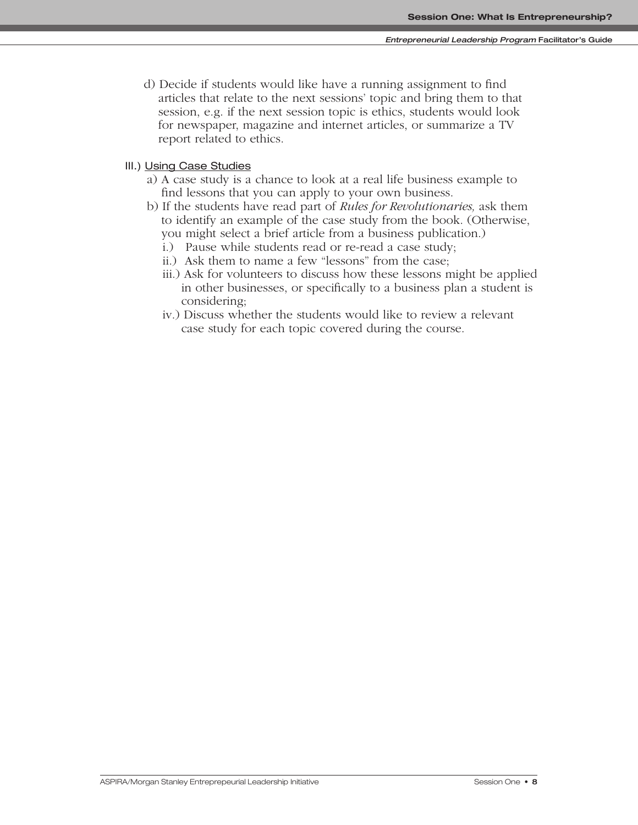d) Decide if students would like have a running assignment to find articles that relate to the next sessions' topic and bring them to that session, e.g. if the next session topic is ethics, students would look for newspaper, magazine and internet articles, or summarize a TV report related to ethics.

# III.) Using Case Studies

- a) A case study is a chance to look at a real life business example to find lessons that you can apply to your own business.
- b) If the students have read part of *Rules for Revolutionaries,* ask them to identify an example of the case study from the book. (Otherwise, you might select a brief article from a business publication.)
	- i.) Pause while students read or re-read a case study;
	- ii.) Ask them to name a few "lessons" from the case;
	- iii.) Ask for volunteers to discuss how these lessons might be applied in other businesses, or specifically to a business plan a student is considering;
	- iv.) Discuss whether the students would like to review a relevant case study for each topic covered during the course.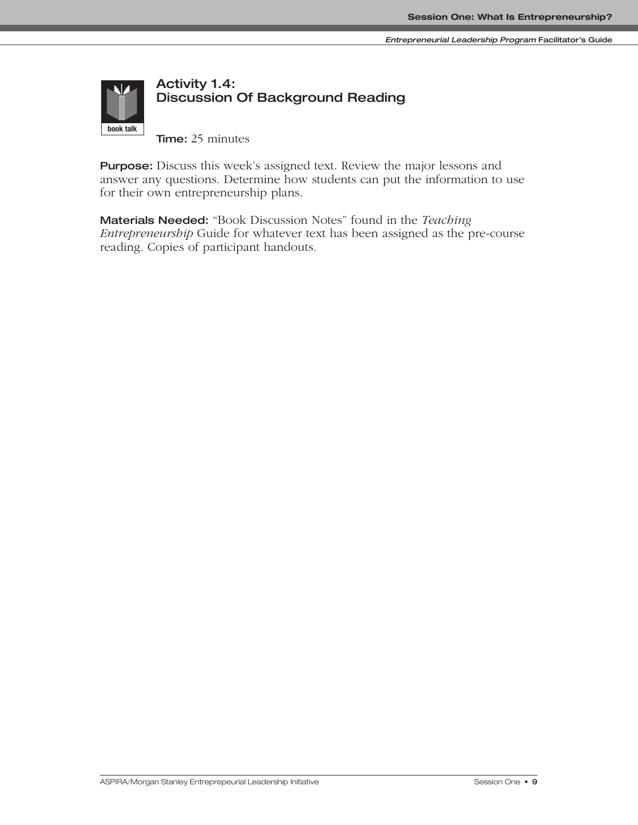

# **Activity 1.4: Discussion Of Background Reading**

**Time:** 25 minutes

**Purpose:** Discuss this week's assigned text. Review the major lessons and answer any questions. Determine how students can put the information to use for their own entrepreneurship plans.

**Materials Needed:** "Book Discussion Notes" found in the *Teaching Entrepreneurship* Guide for whatever text has been assigned as the pre-course reading. Copies of participant handouts.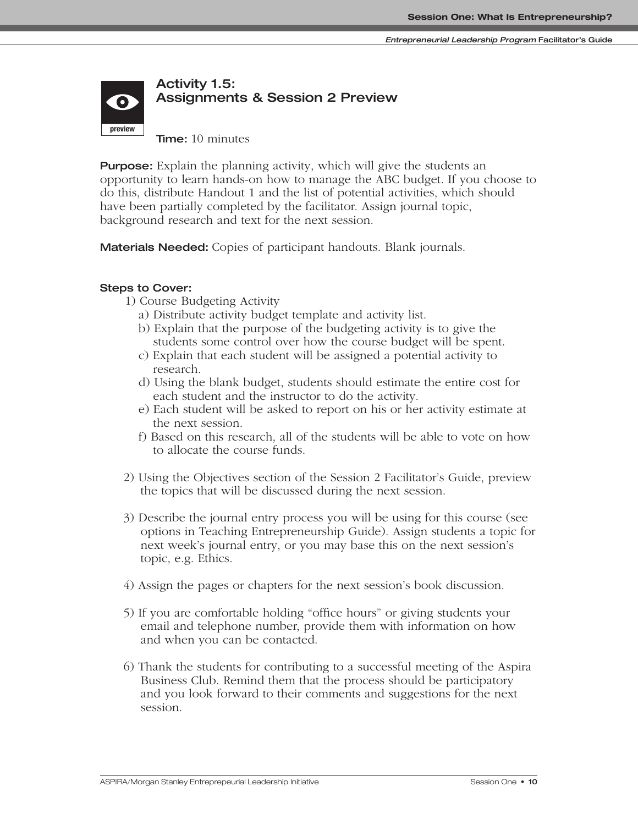

**Time:** 10 minutes

**Purpose:** Explain the planning activity, which will give the students an opportunity to learn hands-on how to manage the ABC budget. If you choose to do this, distribute Handout 1 and the list of potential activities, which should have been partially completed by the facilitator. Assign journal topic, background research and text for the next session.

**Materials Needed:** Copies of participant handouts. Blank journals.

# **Steps to Cover:**

- 1) Course Budgeting Activity
	- a) Distribute activity budget template and activity list.
	- b) Explain that the purpose of the budgeting activity is to give the students some control over how the course budget will be spent.
	- c) Explain that each student will be assigned a potential activity to research.
	- d) Using the blank budget, students should estimate the entire cost for each student and the instructor to do the activity.
	- e) Each student will be asked to report on his or her activity estimate at the next session.
	- f) Based on this research, all of the students will be able to vote on how to allocate the course funds.
- 2) Using the Objectives section of the Session 2 Facilitator's Guide, preview the topics that will be discussed during the next session.
- 3) Describe the journal entry process you will be using for this course (see options in Teaching Entrepreneurship Guide). Assign students a topic for next week's journal entry, or you may base this on the next session's topic, e.g. Ethics.
- 4) Assign the pages or chapters for the next session's book discussion.
- 5) If you are comfortable holding "office hours" or giving students your email and telephone number, provide them with information on how and when you can be contacted.
- 6) Thank the students for contributing to a successful meeting of the Aspira Business Club. Remind them that the process should be participatory and you look forward to their comments and suggestions for the next session.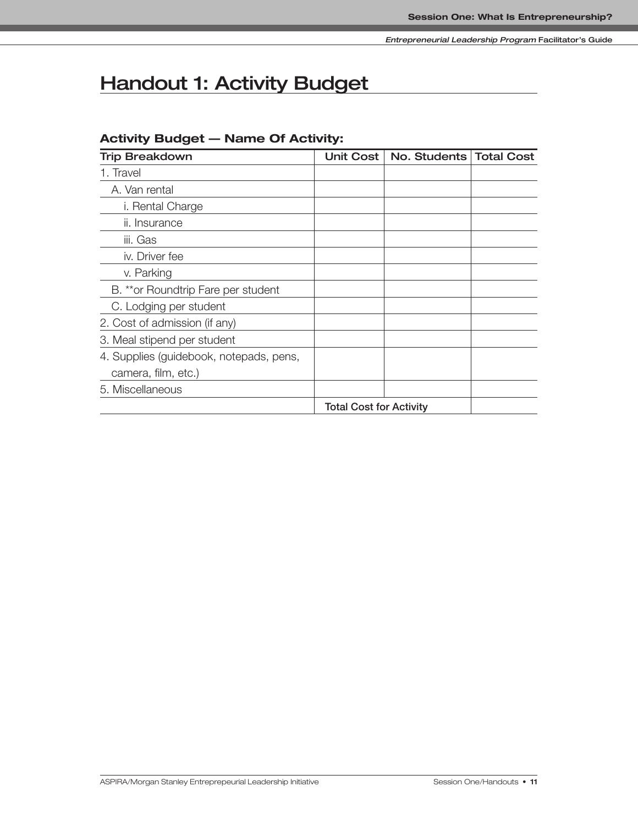# **Handout 1: Activity Budget**

# **Activity Budget — Name Of Activity:**

| <b>Trip Breakdown</b>                   | <b>Unit Cost</b>               | No. Students | <b>Total Cost</b> |
|-----------------------------------------|--------------------------------|--------------|-------------------|
| 1. Travel                               |                                |              |                   |
| A. Van rental                           |                                |              |                   |
| i. Rental Charge                        |                                |              |                   |
| ii. Insurance                           |                                |              |                   |
| iii. Gas                                |                                |              |                   |
| iv. Driver fee                          |                                |              |                   |
| v. Parking                              |                                |              |                   |
| B. ** or Roundtrip Fare per student     |                                |              |                   |
| C. Lodging per student                  |                                |              |                   |
| 2. Cost of admission (if any)           |                                |              |                   |
| 3. Meal stipend per student             |                                |              |                   |
| 4. Supplies (guidebook, notepads, pens, |                                |              |                   |
| camera, film, etc.)                     |                                |              |                   |
| 5. Miscellaneous                        |                                |              |                   |
|                                         | <b>Total Cost for Activity</b> |              |                   |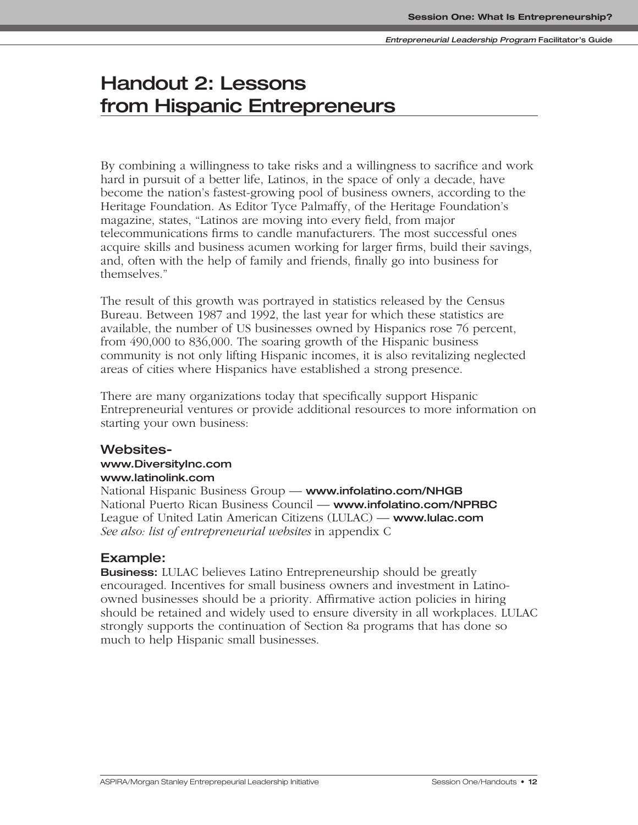# **Handout 2: Lessons from Hispanic Entrepreneurs**

By combining a willingness to take risks and a willingness to sacrifice and work hard in pursuit of a better life, Latinos, in the space of only a decade, have become the nation's fastest-growing pool of business owners, according to the Heritage Foundation. As Editor Tyce Palmaffy, of the Heritage Foundation's magazine, states, "Latinos are moving into every field, from major telecommunications firms to candle manufacturers. The most successful ones acquire skills and business acumen working for larger firms, build their savings, and, often with the help of family and friends, finally go into business for themselves."

The result of this growth was portrayed in statistics released by the Census Bureau. Between 1987 and 1992, the last year for which these statistics are available, the number of US businesses owned by Hispanics rose 76 percent, from 490,000 to 836,000. The soaring growth of the Hispanic business community is not only lifting Hispanic incomes, it is also revitalizing neglected areas of cities where Hispanics have established a strong presence.

There are many organizations today that specifically support Hispanic Entrepreneurial ventures or provide additional resources to more information on starting your own business:

# **Websites-**

#### **www.DiversityInc.com www.latinolink.com**

National Hispanic Business Group — **www.infolatino.com/NHGB** National Puerto Rican Business Council — **www.infolatino.com/NPRBC** League of United Latin American Citizens (LULAC) — **www.lulac.com** *See also: list of entrepreneurial websites* in appendix C

# **Example:**

**Business:** LULAC believes Latino Entrepreneurship should be greatly encouraged. Incentives for small business owners and investment in Latinoowned businesses should be a priority. Affirmative action policies in hiring should be retained and widely used to ensure diversity in all workplaces. LULAC strongly supports the continuation of Section 8a programs that has done so much to help Hispanic small businesses.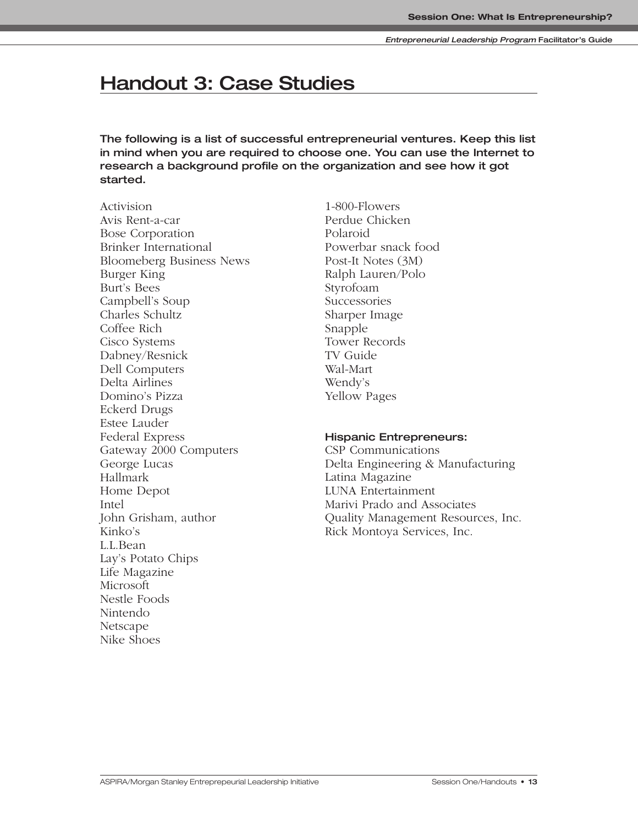# **Handout 3: Case Studies**

**The following is a list of successful entrepreneurial ventures. Keep this list in mind when you are required to choose one. You can use the Internet to research a background profile on the organization and see how it got started.**

Activision Avis Rent-a-car Bose Corporation Brinker International Bloomeberg Business News Burger King Burt's Bees Campbell's Soup Charles Schultz Coffee Rich Cisco Systems Dabney/Resnick Dell Computers Delta Airlines Domino's Pizza Eckerd Drugs Estee Lauder Federal Express Gateway 2000 Computers George Lucas Hallmark Home Depot Intel John Grisham, author Kinko's L.L.Bean Lay's Potato Chips Life Magazine Microsoft Nestle Foods Nintendo Netscape Nike Shoes

1-800-Flowers Perdue Chicken Polaroid Powerbar snack food Post-It Notes (3M) Ralph Lauren/Polo Styrofoam Successories Sharper Image Snapple Tower Records TV Guide Wal-Mart Wendy's Yellow Pages

#### **Hispanic Entrepreneurs:**

CSP Communications Delta Engineering & Manufacturing Latina Magazine LUNA Entertainment Marivi Prado and Associates Quality Management Resources, Inc. Rick Montoya Services, Inc.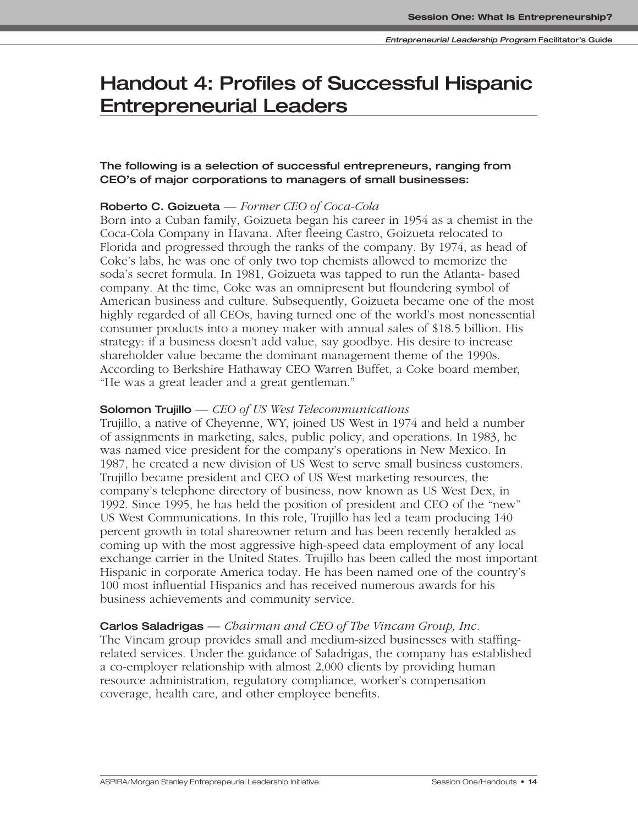# **Handout 4: Profiles of Successful Hispanic Entrepreneurial Leaders**

# **The following is a selection of successful entrepreneurs, ranging from CEO's of major corporations to managers of small businesses:**

# **Roberto C. Goizueta** — *Former CEO of Coca-Cola*

Born into a Cuban family, Goizueta began his career in 1954 as a chemist in the Coca-Cola Company in Havana. After fleeing Castro, Goizueta relocated to Florida and progressed through the ranks of the company. By 1974, as head of Coke's labs, he was one of only two top chemists allowed to memorize the soda's secret formula. In 1981, Goizueta was tapped to run the Atlanta- based company. At the time, Coke was an omnipresent but floundering symbol of American business and culture. Subsequently, Goizueta became one of the most highly regarded of all CEOs, having turned one of the world's most nonessential consumer products into a money maker with annual sales of \$18.5 billion. His strategy: if a business doesn't add value, say goodbye. His desire to increase shareholder value became the dominant management theme of the 1990s. According to Berkshire Hathaway CEO Warren Buffet, a Coke board member, "He was a great leader and a great gentleman."

## **Solomon Trujillo** — *CEO of US West Telecommunications*

Trujillo, a native of Cheyenne, WY, joined US West in 1974 and held a number of assignments in marketing, sales, public policy, and operations. In 1983, he was named vice president for the company's operations in New Mexico. In 1987, he created a new division of US West to serve small business customers. Trujillo became president and CEO of US West marketing resources, the company's telephone directory of business, now known as US West Dex, in 1992. Since 1995, he has held the position of president and CEO of the "new" US West Communications. In this role, Trujillo has led a team producing 140 percent growth in total shareowner return and has been recently heralded as coming up with the most aggressive high-speed data employment of any local exchange carrier in the United States. Trujillo has been called the most important Hispanic in corporate America today. He has been named one of the country's 100 most influential Hispanics and has received numerous awards for his business achievements and community service.

# **Carlos Saladrigas** — *Chairman and CEO of The Vincam Group, Inc.*

The Vincam group provides small and medium-sized businesses with staffingrelated services. Under the guidance of Saladrigas, the company has established a co-employer relationship with almost 2,000 clients by providing human resource administration, regulatory compliance, worker's compensation coverage, health care, and other employee benefits.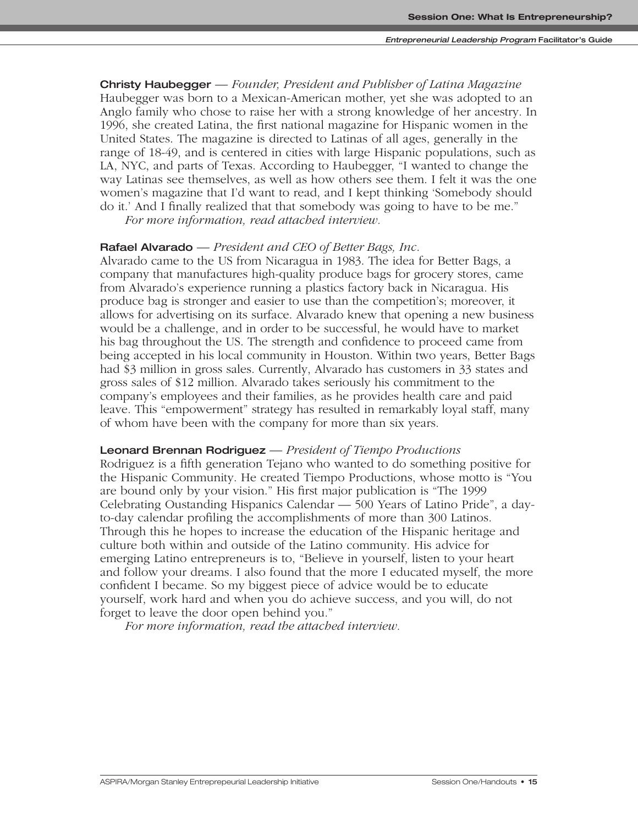**Christy Haubegger** — *Founder, President and Publisher of Latina Magazine* Haubegger was born to a Mexican-American mother, yet she was adopted to an Anglo family who chose to raise her with a strong knowledge of her ancestry. In 1996, she created Latina, the first national magazine for Hispanic women in the United States. The magazine is directed to Latinas of all ages, generally in the range of 18-49, and is centered in cities with large Hispanic populations, such as LA, NYC, and parts of Texas. According to Haubegger, "I wanted to change the way Latinas see themselves, as well as how others see them. I felt it was the one women's magazine that I'd want to read, and I kept thinking 'Somebody should do it.' And I finally realized that that somebody was going to have to be me."

*For more information, read attached interview.*

#### **Rafael Alvarado** — *President and CEO of Better Bags, Inc*.

Alvarado came to the US from Nicaragua in 1983. The idea for Better Bags, a company that manufactures high-quality produce bags for grocery stores, came from Alvarado's experience running a plastics factory back in Nicaragua. His produce bag is stronger and easier to use than the competition's; moreover, it allows for advertising on its surface. Alvarado knew that opening a new business would be a challenge, and in order to be successful, he would have to market his bag throughout the US. The strength and confidence to proceed came from being accepted in his local community in Houston. Within two years, Better Bags had \$3 million in gross sales. Currently, Alvarado has customers in 33 states and gross sales of \$12 million. Alvarado takes seriously his commitment to the company's employees and their families, as he provides health care and paid leave. This "empowerment" strategy has resulted in remarkably loyal staff, many of whom have been with the company for more than six years.

#### **Leonard Brennan Rodriguez** — *President of Tiempo Productions*

Rodriguez is a fifth generation Tejano who wanted to do something positive for the Hispanic Community. He created Tiempo Productions, whose motto is "You are bound only by your vision." His first major publication is "The 1999 Celebrating Oustanding Hispanics Calendar — 500 Years of Latino Pride", a dayto-day calendar profiling the accomplishments of more than 300 Latinos. Through this he hopes to increase the education of the Hispanic heritage and culture both within and outside of the Latino community. His advice for emerging Latino entrepreneurs is to, "Believe in yourself, listen to your heart and follow your dreams. I also found that the more I educated myself, the more confident I became. So my biggest piece of advice would be to educate yourself, work hard and when you do achieve success, and you will, do not forget to leave the door open behind you."

*For more information, read the attached interview.*